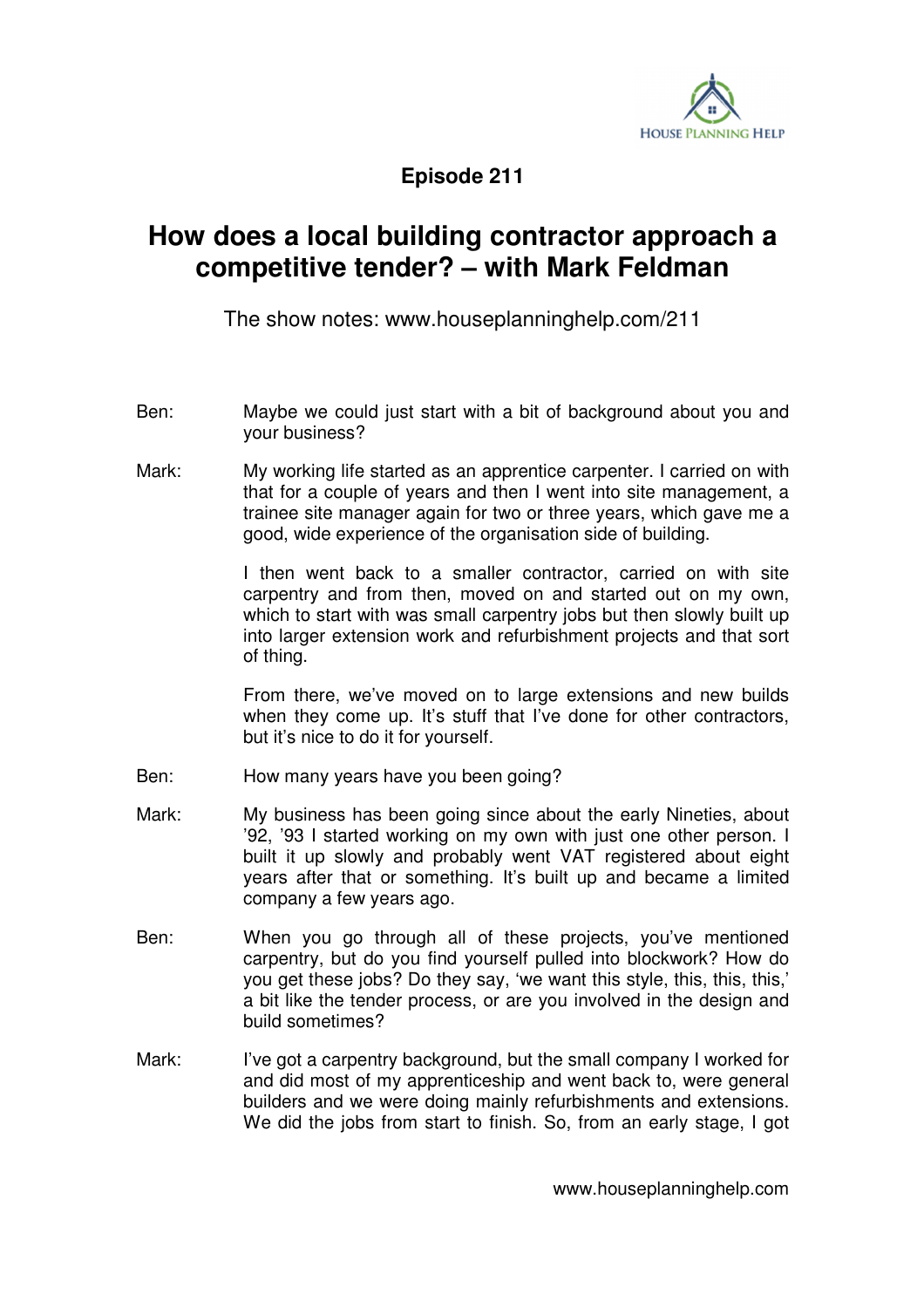

**Episode 211** 

## **How does a local building contractor approach a competitive tender? – with Mark Feldman**

The show notes: www.houseplanninghelp.com/211

- Ben: Maybe we could just start with a bit of background about you and your business?
- Mark: My working life started as an apprentice carpenter. I carried on with that for a couple of years and then I went into site management, a trainee site manager again for two or three years, which gave me a good, wide experience of the organisation side of building.

 I then went back to a smaller contractor, carried on with site carpentry and from then, moved on and started out on my own, which to start with was small carpentry jobs but then slowly built up into larger extension work and refurbishment projects and that sort of thing.

 From there, we've moved on to large extensions and new builds when they come up. It's stuff that I've done for other contractors, but it's nice to do it for yourself.

- Ben: How many years have you been going?
- Mark: My business has been going since about the early Nineties, about '92, '93 I started working on my own with just one other person. I built it up slowly and probably went VAT registered about eight years after that or something. It's built up and became a limited company a few years ago.
- Ben: When you go through all of these projects, you've mentioned carpentry, but do you find yourself pulled into blockwork? How do you get these jobs? Do they say, 'we want this style, this, this, this,' a bit like the tender process, or are you involved in the design and build sometimes?
- Mark: I've got a carpentry background, but the small company I worked for and did most of my apprenticeship and went back to, were general builders and we were doing mainly refurbishments and extensions. We did the jobs from start to finish. So, from an early stage, I got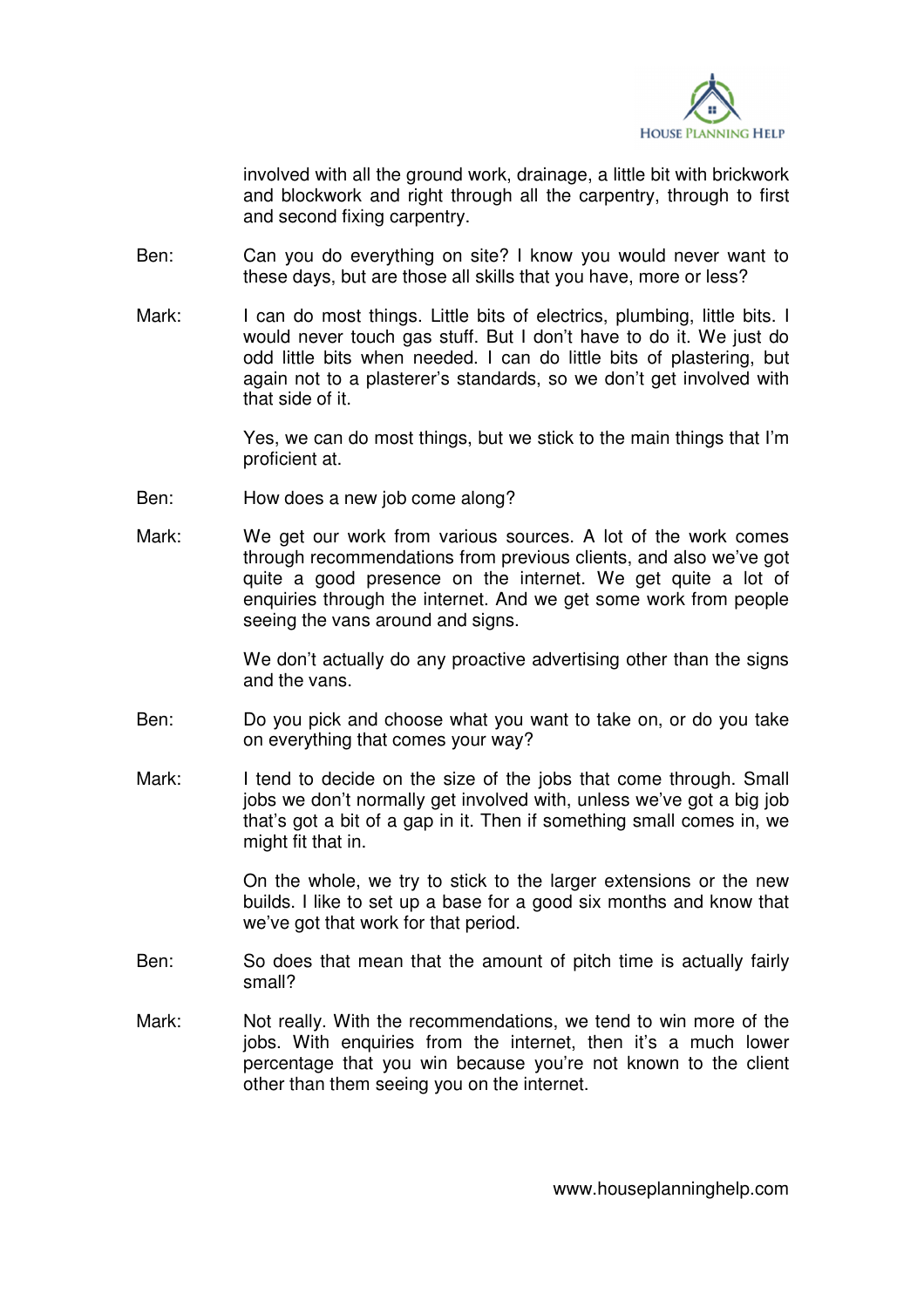

involved with all the ground work, drainage, a little bit with brickwork and blockwork and right through all the carpentry, through to first and second fixing carpentry.

- Ben: Can you do everything on site? I know you would never want to these days, but are those all skills that you have, more or less?
- Mark: I can do most things. Little bits of electrics, plumbing, little bits, I would never touch gas stuff. But I don't have to do it. We just do odd little bits when needed. I can do little bits of plastering, but again not to a plasterer's standards, so we don't get involved with that side of it.

 Yes, we can do most things, but we stick to the main things that I'm proficient at.

- Ben: How does a new job come along?
- Mark: We get our work from various sources. A lot of the work comes through recommendations from previous clients, and also we've got quite a good presence on the internet. We get quite a lot of enquiries through the internet. And we get some work from people seeing the vans around and signs.

We don't actually do any proactive advertising other than the signs and the vans.

- Ben: Do you pick and choose what you want to take on, or do you take on everything that comes your way?
- Mark: I tend to decide on the size of the jobs that come through. Small jobs we don't normally get involved with, unless we've got a big job that's got a bit of a gap in it. Then if something small comes in, we might fit that in.

 On the whole, we try to stick to the larger extensions or the new builds. I like to set up a base for a good six months and know that we've got that work for that period.

- Ben: So does that mean that the amount of pitch time is actually fairly small?
- Mark: Not really. With the recommendations, we tend to win more of the jobs. With enquiries from the internet, then it's a much lower percentage that you win because you're not known to the client other than them seeing you on the internet.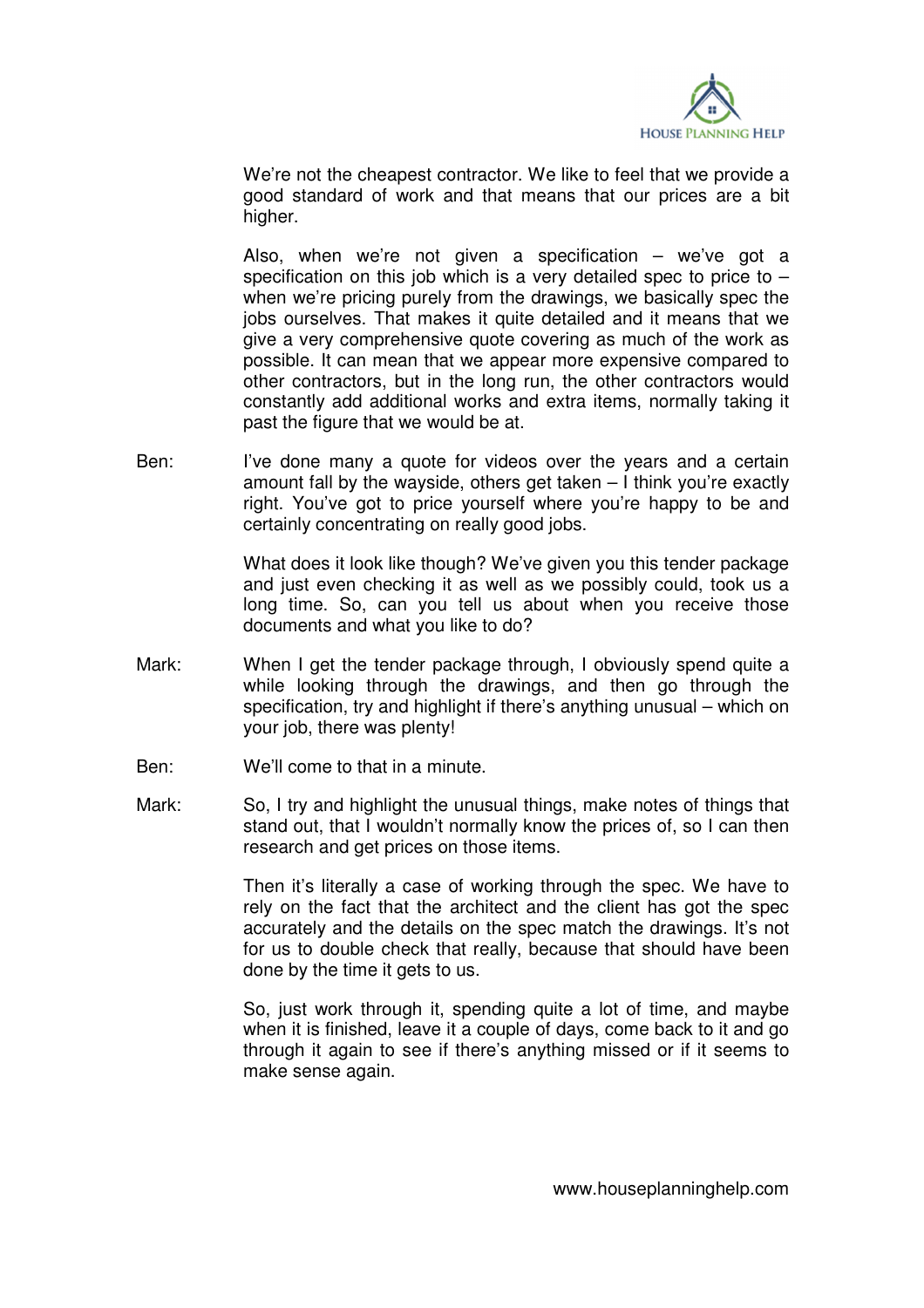

 We're not the cheapest contractor. We like to feel that we provide a good standard of work and that means that our prices are a bit higher.

 Also, when we're not given a specification – we've got a specification on this job which is a very detailed spec to price to  $$ when we're pricing purely from the drawings, we basically spec the jobs ourselves. That makes it quite detailed and it means that we give a very comprehensive quote covering as much of the work as possible. It can mean that we appear more expensive compared to other contractors, but in the long run, the other contractors would constantly add additional works and extra items, normally taking it past the figure that we would be at.

Ben: I've done many a quote for videos over the years and a certain amount fall by the wayside, others get taken – I think you're exactly right. You've got to price yourself where you're happy to be and certainly concentrating on really good jobs.

> What does it look like though? We've given you this tender package and just even checking it as well as we possibly could, took us a long time. So, can you tell us about when you receive those documents and what you like to do?

- Mark: When I get the tender package through, I obviously spend quite a while looking through the drawings, and then go through the specification, try and highlight if there's anything unusual – which on your job, there was plenty!
- Ben: We'll come to that in a minute.
- Mark: So, I try and highlight the unusual things, make notes of things that stand out, that I wouldn't normally know the prices of, so I can then research and get prices on those items.

 Then it's literally a case of working through the spec. We have to rely on the fact that the architect and the client has got the spec accurately and the details on the spec match the drawings. It's not for us to double check that really, because that should have been done by the time it gets to us.

 So, just work through it, spending quite a lot of time, and maybe when it is finished, leave it a couple of days, come back to it and go through it again to see if there's anything missed or if it seems to make sense again.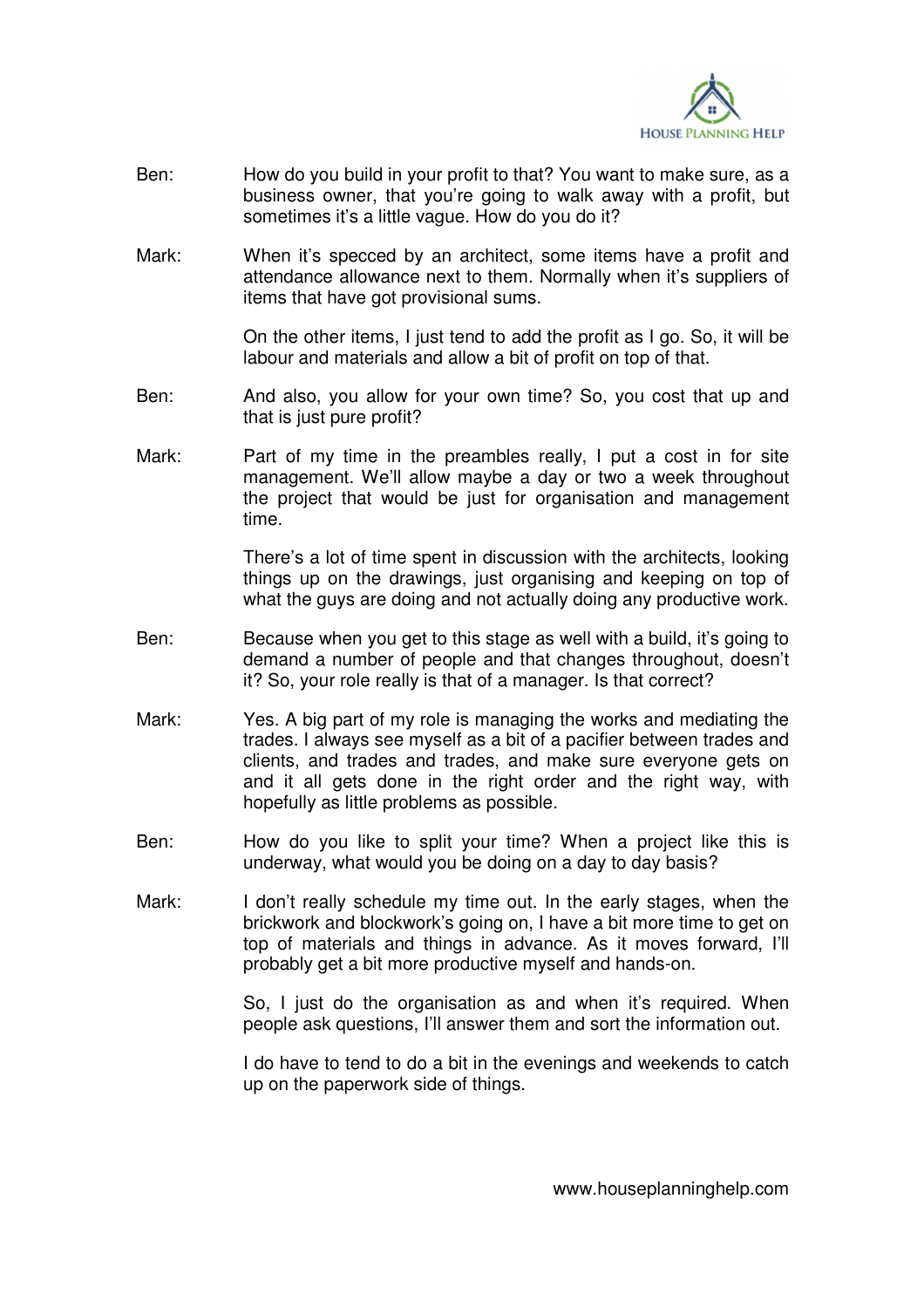

- Ben: How do you build in your profit to that? You want to make sure, as a business owner, that you're going to walk away with a profit, but sometimes it's a little vague. How do you do it?
- Mark: When it's specced by an architect, some items have a profit and attendance allowance next to them. Normally when it's suppliers of items that have got provisional sums.

 On the other items, I just tend to add the profit as I go. So, it will be labour and materials and allow a bit of profit on top of that.

- Ben: And also, you allow for your own time? So, you cost that up and that is just pure profit?
- Mark: Part of my time in the preambles really, I put a cost in for site management. We'll allow maybe a day or two a week throughout the project that would be just for organisation and management time.

 There's a lot of time spent in discussion with the architects, looking things up on the drawings, just organising and keeping on top of what the guys are doing and not actually doing any productive work.

- Ben: Because when you get to this stage as well with a build, it's going to demand a number of people and that changes throughout, doesn't it? So, your role really is that of a manager. Is that correct?
- Mark: Yes. A big part of my role is managing the works and mediating the trades. I always see myself as a bit of a pacifier between trades and clients, and trades and trades, and make sure everyone gets on and it all gets done in the right order and the right way, with hopefully as little problems as possible.
- Ben: How do you like to split your time? When a project like this is underway, what would you be doing on a day to day basis?
- Mark: I don't really schedule my time out. In the early stages, when the brickwork and blockwork's going on, I have a bit more time to get on top of materials and things in advance. As it moves forward, I'll probably get a bit more productive myself and hands-on.

So, I just do the organisation as and when it's required. When people ask questions, I'll answer them and sort the information out.

 I do have to tend to do a bit in the evenings and weekends to catch up on the paperwork side of things.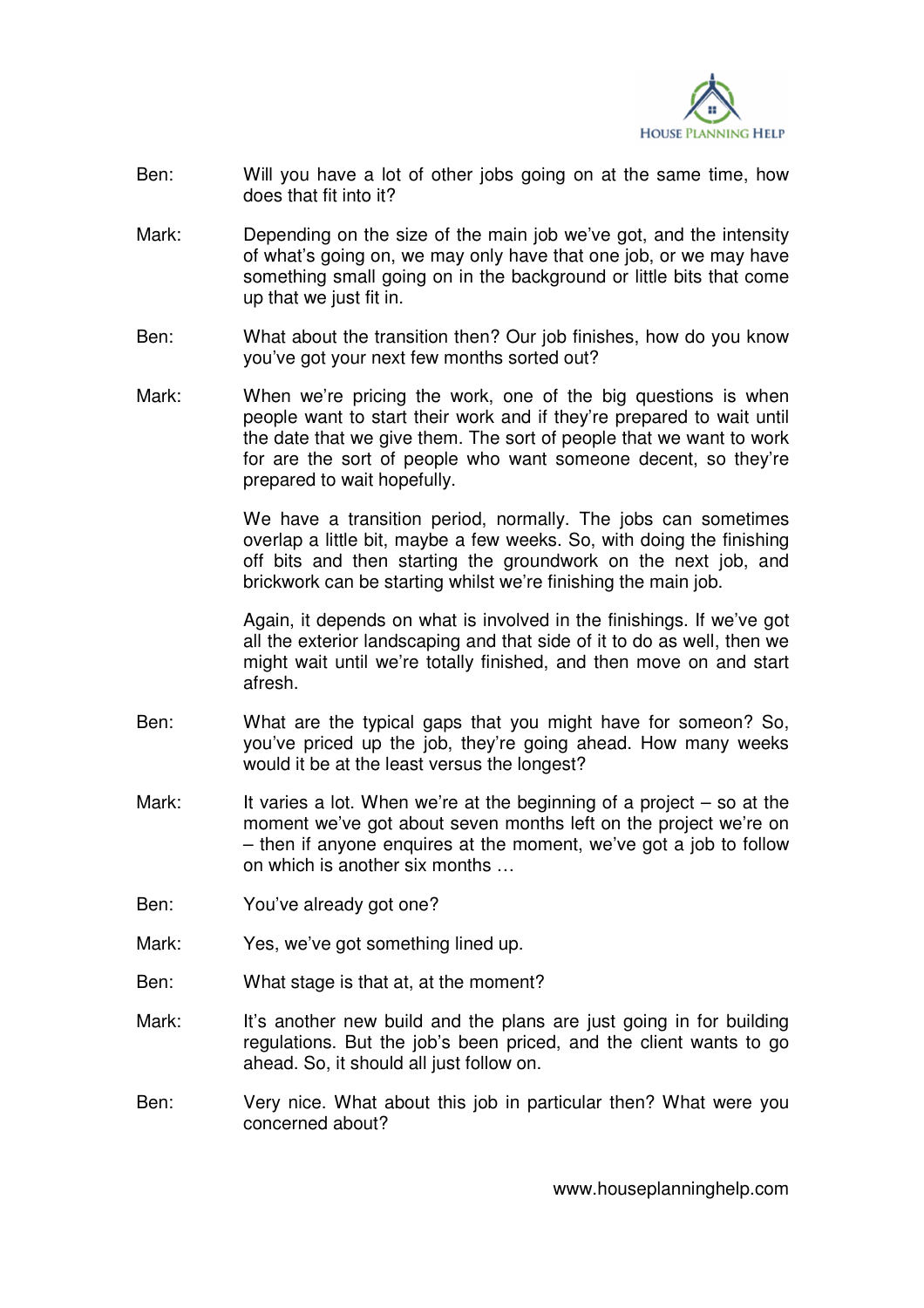

- Ben: Will you have a lot of other jobs going on at the same time, how does that fit into it?
- Mark: Depending on the size of the main job we've got, and the intensity of what's going on, we may only have that one job, or we may have something small going on in the background or little bits that come up that we just fit in.
- Ben: What about the transition then? Our job finishes, how do you know you've got your next few months sorted out?
- Mark: When we're pricing the work, one of the big questions is when people want to start their work and if they're prepared to wait until the date that we give them. The sort of people that we want to work for are the sort of people who want someone decent, so they're prepared to wait hopefully.

 We have a transition period, normally. The jobs can sometimes overlap a little bit, maybe a few weeks. So, with doing the finishing off bits and then starting the groundwork on the next job, and brickwork can be starting whilst we're finishing the main job.

 Again, it depends on what is involved in the finishings. If we've got all the exterior landscaping and that side of it to do as well, then we might wait until we're totally finished, and then move on and start afresh.

- Ben: What are the typical gaps that you might have for someon? So, you've priced up the job, they're going ahead. How many weeks would it be at the least versus the longest?
- Mark: It varies a lot. When we're at the beginning of a project  $-$  so at the moment we've got about seven months left on the project we're on – then if anyone enquires at the moment, we've got a job to follow on which is another six months …
- Ben: You've already got one?
- Mark: Yes, we've got something lined up.
- Ben: What stage is that at, at the moment?
- Mark: It's another new build and the plans are just going in for building regulations. But the job's been priced, and the client wants to go ahead. So, it should all just follow on.
- Ben: Very nice. What about this job in particular then? What were you concerned about?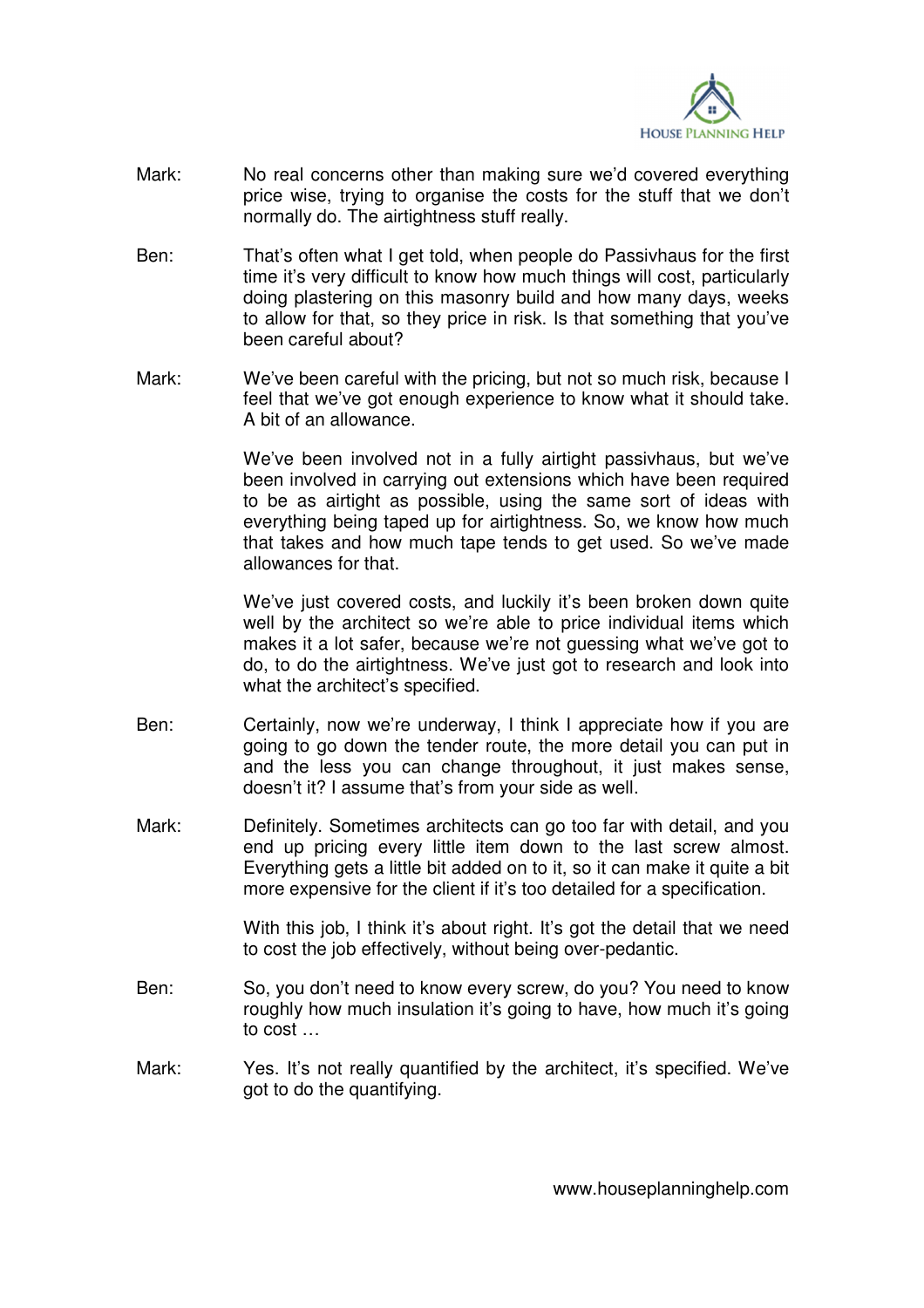

- Mark: No real concerns other than making sure we'd covered everything price wise, trying to organise the costs for the stuff that we don't normally do. The airtightness stuff really.
- Ben: That's often what I get told, when people do Passivhaus for the first time it's very difficult to know how much things will cost, particularly doing plastering on this masonry build and how many days, weeks to allow for that, so they price in risk. Is that something that you've been careful about?
- Mark: We've been careful with the pricing, but not so much risk, because I feel that we've got enough experience to know what it should take. A bit of an allowance.

 We've been involved not in a fully airtight passivhaus, but we've been involved in carrying out extensions which have been required to be as airtight as possible, using the same sort of ideas with everything being taped up for airtightness. So, we know how much that takes and how much tape tends to get used. So we've made allowances for that.

 We've just covered costs, and luckily it's been broken down quite well by the architect so we're able to price individual items which makes it a lot safer, because we're not quessing what we've got to do, to do the airtightness. We've just got to research and look into what the architect's specified.

- Ben: Certainly, now we're underway, I think I appreciate how if you are going to go down the tender route, the more detail you can put in and the less you can change throughout, it just makes sense, doesn't it? I assume that's from your side as well.
- Mark: Definitely. Sometimes architects can go too far with detail, and you end up pricing every little item down to the last screw almost. Everything gets a little bit added on to it, so it can make it quite a bit more expensive for the client if it's too detailed for a specification.

With this job, I think it's about right. It's got the detail that we need to cost the job effectively, without being over-pedantic.

- Ben: So, you don't need to know every screw, do you? You need to know roughly how much insulation it's going to have, how much it's going to cost …
- Mark: Yes. It's not really quantified by the architect, it's specified. We've got to do the quantifying.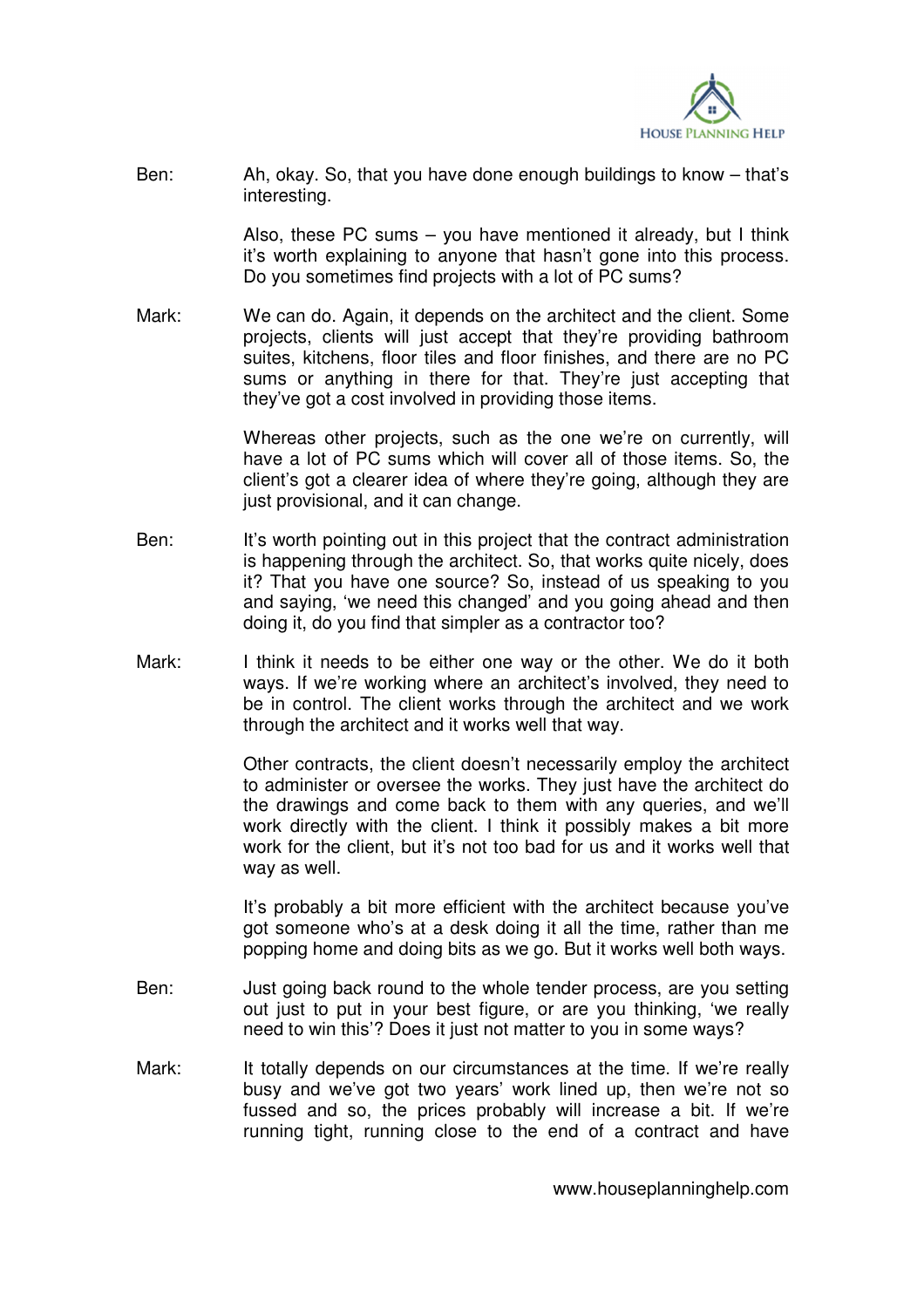

Ben: Ah, okay. So, that you have done enough buildings to know – that's interesting.

> Also, these PC sums – you have mentioned it already, but I think it's worth explaining to anyone that hasn't gone into this process. Do you sometimes find projects with a lot of PC sums?

Mark: We can do. Again, it depends on the architect and the client. Some projects, clients will just accept that they're providing bathroom suites, kitchens, floor tiles and floor finishes, and there are no PC sums or anything in there for that. They're just accepting that they've got a cost involved in providing those items.

> Whereas other projects, such as the one we're on currently, will have a lot of PC sums which will cover all of those items. So, the client's got a clearer idea of where they're going, although they are just provisional, and it can change.

- Ben: It's worth pointing out in this project that the contract administration is happening through the architect. So, that works quite nicely, does it? That you have one source? So, instead of us speaking to you and saying, 'we need this changed' and you going ahead and then doing it, do you find that simpler as a contractor too?
- Mark: I think it needs to be either one way or the other. We do it both ways. If we're working where an architect's involved, they need to be in control. The client works through the architect and we work through the architect and it works well that way.

 Other contracts, the client doesn't necessarily employ the architect to administer or oversee the works. They just have the architect do the drawings and come back to them with any queries, and we'll work directly with the client. I think it possibly makes a bit more work for the client, but it's not too bad for us and it works well that way as well.

 It's probably a bit more efficient with the architect because you've got someone who's at a desk doing it all the time, rather than me popping home and doing bits as we go. But it works well both ways.

- Ben: Just going back round to the whole tender process, are you setting out just to put in your best figure, or are you thinking, 'we really need to win this'? Does it just not matter to you in some ways?
- Mark: It totally depends on our circumstances at the time. If we're really busy and we've got two years' work lined up, then we're not so fussed and so, the prices probably will increase a bit. If we're running tight, running close to the end of a contract and have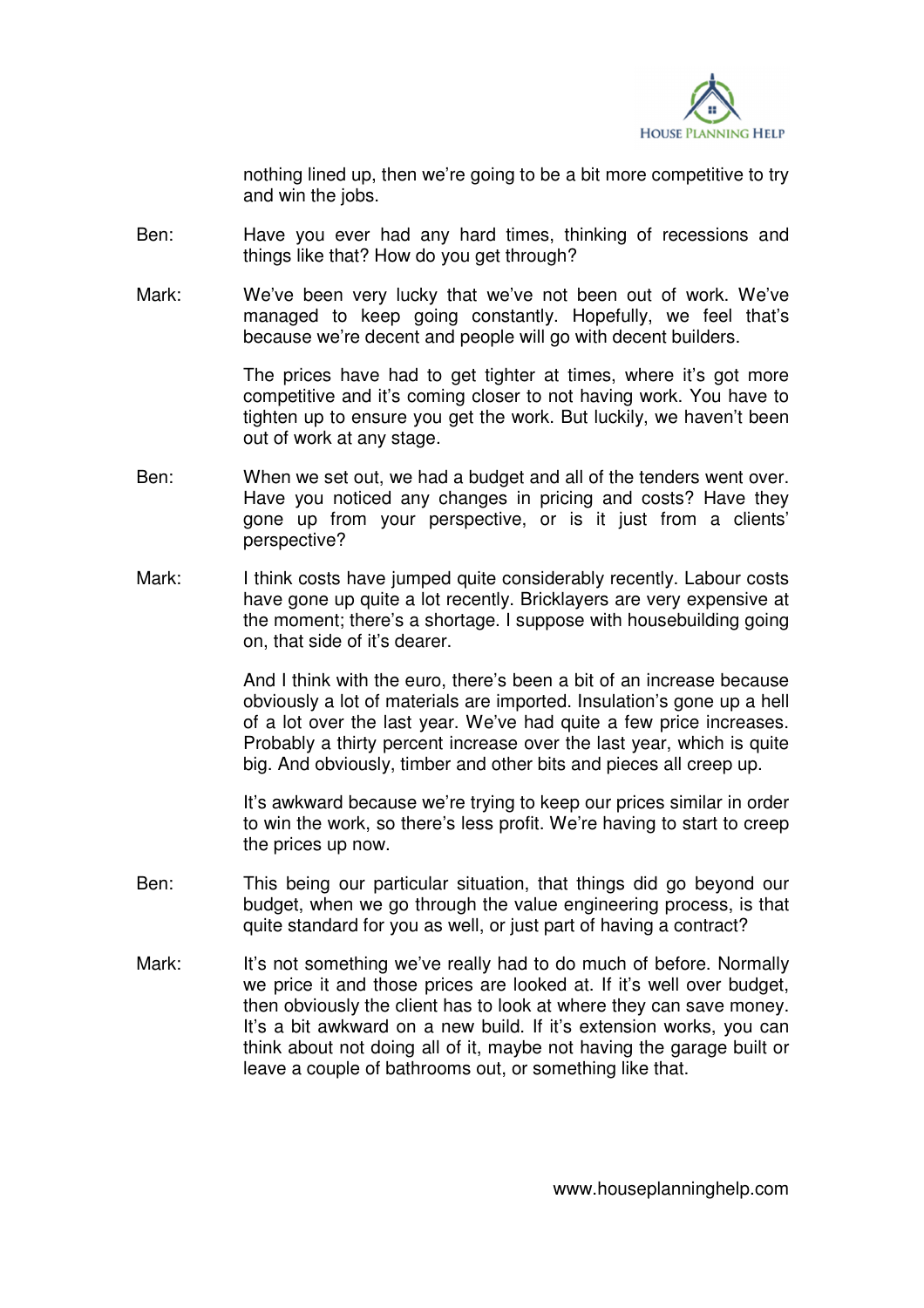

nothing lined up, then we're going to be a bit more competitive to try and win the jobs.

- Ben: Have you ever had any hard times, thinking of recessions and things like that? How do you get through?
- Mark: We've been very lucky that we've not been out of work. We've managed to keep going constantly. Hopefully, we feel that's because we're decent and people will go with decent builders.

The prices have had to get tighter at times, where it's got more competitive and it's coming closer to not having work. You have to tighten up to ensure you get the work. But luckily, we haven't been out of work at any stage.

- Ben: When we set out, we had a budget and all of the tenders went over. Have you noticed any changes in pricing and costs? Have they gone up from your perspective, or is it just from a clients' perspective?
- Mark: I think costs have jumped quite considerably recently. Labour costs have gone up quite a lot recently. Bricklayers are very expensive at the moment; there's a shortage. I suppose with housebuilding going on, that side of it's dearer.

 And I think with the euro, there's been a bit of an increase because obviously a lot of materials are imported. Insulation's gone up a hell of a lot over the last year. We've had quite a few price increases. Probably a thirty percent increase over the last year, which is quite big. And obviously, timber and other bits and pieces all creep up.

 It's awkward because we're trying to keep our prices similar in order to win the work, so there's less profit. We're having to start to creep the prices up now.

- Ben: This being our particular situation, that things did go beyond our budget, when we go through the value engineering process, is that quite standard for you as well, or just part of having a contract?
- Mark: It's not something we've really had to do much of before. Normally we price it and those prices are looked at. If it's well over budget, then obviously the client has to look at where they can save money. It's a bit awkward on a new build. If it's extension works, you can think about not doing all of it, maybe not having the garage built or leave a couple of bathrooms out, or something like that.